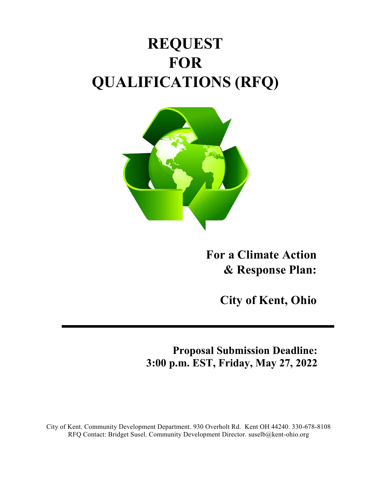# **REQUEST FOR QUALIFICATIONS (RFQ)**



**For a Climate Action & Response Plan:**

**City of Kent, Ohio**

**Proposal Submission Deadline: 3:00 p.m. EST, Friday, May 27, 2022**

City of Kent. Community Development Department. 930 Overholt Rd. Kent OH 44240. 330-678-8108 RFQ Contact: Bridget Susel. Community Development Director. suselb@kent-ohio.org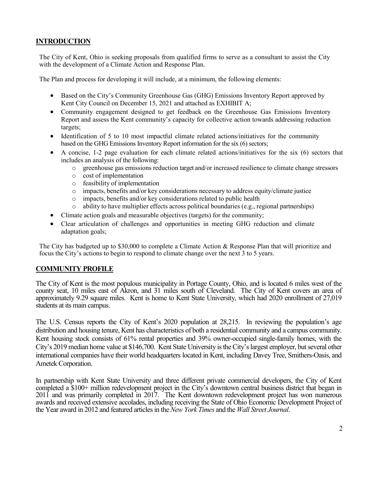## **INTRODUCTION**

The City of Kent, Ohio is seeking proposals from qualified firms to serve as a consultant to assist the City with the development of a Climate Action and Response Plan.

The Plan and process for developing it will include, at a minimum, the following elements:

- Based on the City's Community Greenhouse Gas (GHG) Emissions Inventory Report approved by Kent City Council on December 15, 2021 and attached as EXHIBIT A;
- Community engagement designed to get feedback on the Greenhouse Gas Emissions Inventory Report and assess the Kent community's capacity for collective action towards addressing reduction targets;
- Identification of 5 to 10 most impactful climate related actions/initiatives for the community based on the GHG Emissions Inventory Report information for the six (6) sectors;
- A concise, 1-2 page evaluation for each climate related actions/initiatives for the six (6) sectors that includes an analysis of the following:
	- o greenhouse gas emissions reduction target and/or increased resilience to climate change stressors
	- o cost of implementation
	- o feasibility of implementation
	- o impacts, benefits and/or key considerations necessary to address equity/climate justice
	- o impacts, benefits and/or key considerations related to public health
	- o ability to have multiplier effects across political boundaries (e.g., regional partnerships)
- Climate action goals and measurable objectives (targets) for the community;
- Clear articulation of challenges and opportunities in meeting GHG reduction and climate adaptation goals;

The City has budgeted up to \$30,000 to complete a Climate Action & Response Plan that will prioritize and focus the City's actions to begin to respond to climate change over the next 3 to 5 years.

#### **COMMUNITY PROFILE**

The City of Kent is the most populous municipality in Portage County, Ohio, and is located 6 miles west of the county seat, 10 miles east of Akron, and 31 miles south of Cleveland. The City of Kent covers an area of approximately 9.29 square miles. Kent is home to Kent State University, which had 2020 enrollment of 27,019 students at its main campus.

The U.S. Census reports the City of Kent's 2020 population at 28,215. In reviewing the population's age distribution and housing tenure, Kent has characteristics of both a residential community and a campus community. Kent housing stock consists of 61% rental properties and 39% owner-occupied single-family homes, with the City's 2019 median home value at \$146,700. Kent State University is the City's largest employer, but several other international companies have their world headquarters located in Kent, including Davey Tree, Smithers-Oasis, and Ametek Corporation.

In partnership with Kent State University and three different private commercial developers, the City of Kent completed a \$100+ million redevelopment project in the City's downtown central business district that began in 2011 and was primarily completed in 2017. The Kent downtown redevelopment project has won numerous awards and received extensive accolades, including receiving the State of Ohio Economic Development Project of the Year award in 2012 and featured articlesin the *New York Times* and the *Wall Street Journal*.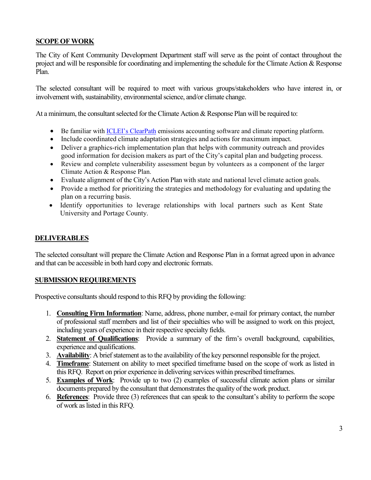## **SCOPE OF WORK**

The City of Kent Community Development Department staff will serve as the point of contact throughout the project and will be responsible for coordinating and implementing the schedule for the Climate Action & Response Plan.

The selected consultant will be required to meet with various groups/stakeholders who have interest in, or involvement with, sustainability, environmental science, and/or climate change.

At a minimum, the consultant selected for the Climate Action & Response Plan will be required to:

- Be familiar wit[h ICLEI's ClearPath](http://icleiusa.org/clearpath/) emissions accounting software and climate reporting platform.
- Include coordinated climate adaptation strategies and actions for maximum impact.
- Deliver a graphics-rich implementation plan that helps with community outreach and provides good information for decision makers as part of the City's capital plan and budgeting process.
- Review and complete vulnerability assessment begun by volunteers as a component of the larger Climate Action & Response Plan.
- Evaluate alignment of the City's Action Plan with state and national level climate action goals.
- Provide a method for prioritizing the strategies and methodology for evaluating and updating the plan on a recurring basis.
- Identify opportunities to leverage relationships with local partners such as Kent State University and Portage County.

#### **DELIVERABLES**

The selected consultant will prepare the Climate Action and Response Plan in a format agreed upon in advance and that can be accessible in both hard copy and electronic formats.

#### **SUBMISSION REQUIREMENTS**

Prospective consultants should respond to this RFQ by providing the following:

- 1. **Consulting Firm Information**: Name, address, phone number, e-mail for primary contact, the number of professional staff members and list of their specialties who will be assigned to work on this project, including years of experience in their respective specialty fields.
- 2. **Statement of Qualifications**: Provide a summary of the firm's overall background, capabilities, experience and qualifications.
- 3. **Availability**: A brief statement as to the availability of the key personnel responsible for the project.
- 4. **Timeframe**: Statement on ability to meet specified timeframe based on the scope of work as listed in this RFQ. Report on prior experience in delivering services within prescribed timeframes.
- 5. **Examples of Work**: Provide up to two (2) examples of successful climate action plans or similar documents prepared by the consultant that demonstrates the quality of the work product.
- 6. **References**: Provide three (3) references that can speak to the consultant's ability to perform the scope of work as listed in this RFQ.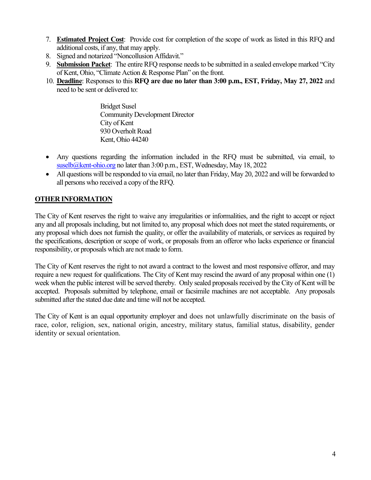- 7. **Estimated Project Cost**: Provide cost for completion of the scope of work as listed in this RFQ and additional costs, if any, that may apply.
- 8. Signed and notarized "Noncollusion Affidavit."
- 9. **Submission Packet**: The entire RFQ response needs to be submitted in a sealed envelope marked "City of Kent, Ohio, "Climate Action & Response Plan" on the front.
- 10. **Deadline**: Responses to this **RFQ are due no later than 3:00 p.m., EST, Friday, May 27, 2022** and need to be sent or delivered to:

Bridget Susel Community Development Director City of Kent 930 Overholt Road Kent, Ohio 44240

- Any questions regarding the information included in the RFQ must be submitted, via email, to [suselb@kent-ohio.org](mailto:suselb@kent-ohio.org) no later than 3:00 p.m., EST, Wednesday, May 18, 2022
- All questions will be responded to via email, no later than Friday, May 20, 2022 and will be forwarded to all persons who received a copy of the RFQ.

# **OTHER INFORMATION**

The City of Kent reserves the right to waive any irregularities or informalities, and the right to accept or reject any and all proposals including, but not limited to, any proposal which does not meet the stated requirements, or any proposal which does not furnish the quality, or offer the availability of materials, or services as required by the specifications, description or scope of work, or proposals from an offeror who lacks experience or financial responsibility, or proposals which are not made to form.

The City of Kent reserves the right to not award a contract to the lowest and most responsive offeror, and may require a new request for qualifications. The City of Kent may rescind the award of any proposal within one (1) week when the public interest will be served thereby. Only sealed proposals received by the City of Kent will be accepted. Proposals submitted by telephone, email or facsimile machines are not acceptable. Any proposals submitted after the stated due date and time will not be accepted.

The City of Kent is an equal opportunity employer and does not unlawfully discriminate on the basis of race, color, religion, sex, national origin, ancestry, military status, familial status, disability, gender identity or sexual orientation.